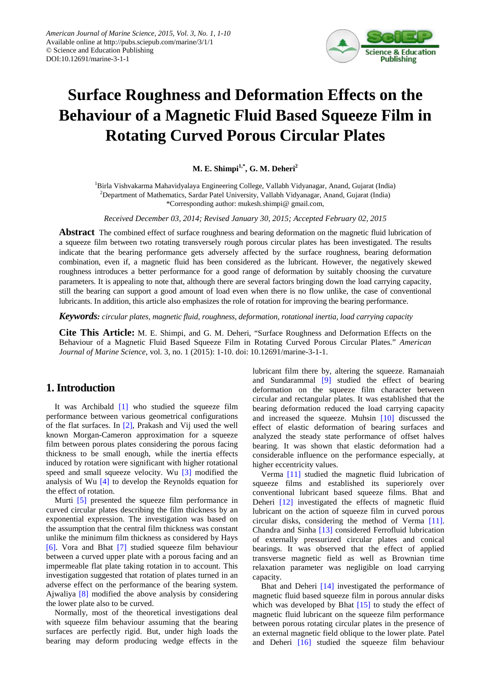

# **Surface Roughness and Deformation Effects on the Behaviour of a Magnetic Fluid Based Squeeze Film in Rotating Curved Porous Circular Plates**

**M. E. Shimpi<sup>1,\*</sup>, G. M. Deheri<sup>2</sup>** 

<sup>1</sup>Birla Vishvakarma Mahavidyalaya Engineering College, Vallabh Vidyanagar, Anand, Gujarat (India) <sup>2</sup>Department of Mathematics, Sardar Patel University, Vallabh Vidyanagar, Anand, Gujarat (India) \*Corresponding author: mukesh.shimpi@ gmail.com,

*Received December 03, 2014; Revised January 30, 2015; Accepted February 02, 2015*

**Abstract** The combined effect of surface roughness and bearing deformation on the magnetic fluid lubrication of a squeeze film between two rotating transversely rough porous circular plates has been investigated. The results indicate that the bearing performance gets adversely affected by the surface roughness, bearing deformation combination, even if, a magnetic fluid has been considered as the lubricant. However, the negatively skewed roughness introduces a better performance for a good range of deformation by suitably choosing the curvature parameters. It is appealing to note that, although there are several factors bringing down the load carrying capacity, still the bearing can support a good amount of load even when there is no flow unlike, the case of conventional lubricants. In addition, this article also emphasizes the role of rotation for improving the bearing performance.

*Keywords: circular plates, magnetic fluid, roughness, deformation, rotational inertia, load carrying capacity*

**Cite This Article:** M. E. Shimpi, and G. M. Deheri, "Surface Roughness and Deformation Effects on the Behaviour of a Magnetic Fluid Based Squeeze Film in Rotating Curved Porous Circular Plates." *American Journal of Marine Science*, vol. 3, no. 1 (2015): 1-10. doi: 10.12691/marine-3-1-1.

# **1. Introduction**

It was Archibald [\[1\]](#page-8-0) who studied the squeeze film performance between various geometrical configurations of the flat surfaces. In [\[2\],](#page-8-1) Prakash and Vij used the well known Morgan-Cameron approximation for a squeeze film between porous plates considering the porous facing thickness to be small enough, while the inertia effects induced by rotation were significant with higher rotational speed and small squeeze velocity. Wu [\[3\]](#page-8-2) modified the analysis of Wu [\[4\]](#page-8-3) to develop the Reynolds equation for the effect of rotation.

Murti [\[5\]](#page-8-4) presented the squeeze film performance in curved circular plates describing the film thickness by an exponential expression. The investigation was based on the assumption that the central film thickness was constant unlike the minimum film thickness as considered by Hays [\[6\].](#page-8-5) Vora and Bhat [\[7\]](#page-8-6) studied squeeze film behaviour between a curved upper plate with a porous facing and an impermeable flat plate taking rotation in to account. This investigation suggested that rotation of plates turned in an adverse effect on the performance of the bearing system. Ajwaliya [\[8\]](#page-8-7) modified the above analysis by considering the lower plate also to be curved.

Normally, most of the theoretical investigations deal with squeeze film behaviour assuming that the bearing surfaces are perfectly rigid. But, under high loads the bearing may deform producing wedge effects in the lubricant film there by, altering the squeeze. Ramanaiah and Sundarammal [\[9\]](#page-8-8) studied the effect of bearing deformation on the squeeze film character between circular and rectangular plates. It was established that the bearing deformation reduced the load carrying capacity and increased the squeeze. Muhsin [\[10\]](#page-8-9) discussed the effect of elastic deformation of bearing surfaces and analyzed the steady state performance of offset halves bearing. It was shown that elastic deformation had a considerable influence on the performance especially, at higher eccentricity values.

Verma [\[11\]](#page-8-10) studied the magnetic fluid lubrication of squeeze films and established its superiorely over conventional lubricant based squeeze films. Bhat and Deheri [\[12\]](#page-8-11) investigated the effects of magnetic fluid lubricant on the action of squeeze film in curved porous circular disks, considering the method of Verma [\[11\].](#page-8-10) Chandra and Sinha [\[13\]](#page-8-12) considered Ferrofluid lubrication of externally pressurized circular plates and conical bearings. It was observed that the effect of applied transverse magnetic field as well as Brownian time relaxation parameter was negligible on load carrying capacity.

Bhat and Deheri [\[14\]](#page-8-13) investigated the performance of magnetic fluid based squeeze film in porous annular disks which was developed by Bhat [\[15\]](#page-8-14) to study the effect of magnetic fluid lubricant on the squeeze film performance between porous rotating circular plates in the presence of an external magnetic field oblique to the lower plate. Patel and Deheri [\[16\]](#page-8-15) studied the squeeze film behaviour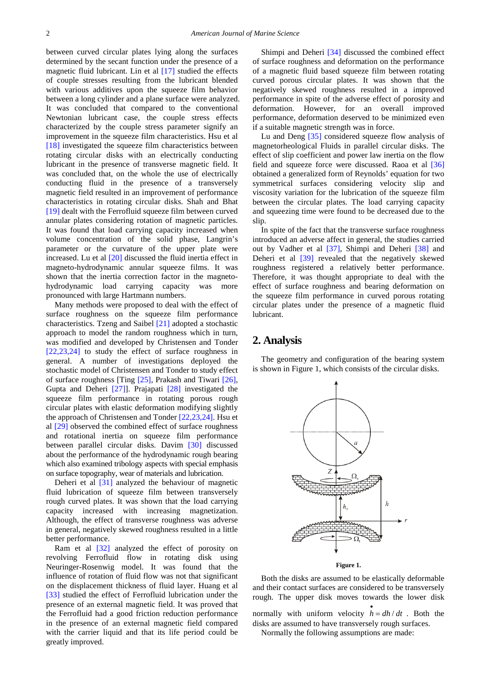between curved circular plates lying along the surfaces determined by the secant function under the presence of a magnetic fluid lubricant. Lin et al [\[17\]](#page-8-16) studied the effects of couple stresses resulting from the lubricant blended with various additives upon the squeeze film behavior between a long cylinder and a plane surface were analyzed. It was concluded that compared to the conventional Newtonian lubricant case, the couple stress effects characterized by the couple stress parameter signify an improvement in the squeeze film characteristics. Hsu et al [\[18\]](#page-8-17) investigated the squeeze film characteristics between rotating circular disks with an electrically conducting lubricant in the presence of transverse magnetic field. It was concluded that, on the whole the use of electrically conducting fluid in the presence of a transversely magnetic field resulted in an improvement of performance characteristics in rotating circular disks. Shah and Bhat [\[19\]](#page-8-18) dealt with the Ferrofluid squeeze film between curved annular plates considering rotation of magnetic particles. It was found that load carrying capacity increased when volume concentration of the solid phase, Langrin's parameter or the curvature of the upper plate were increased. Lu et al [\[20\]](#page-9-0) discussed the fluid inertia effect in magneto-hydrodynamic annular squeeze films. It was shown that the inertia correction factor in the magnetohydrodynamic load carrying capacity was more pronounced with large Hartmann numbers.

Many methods were proposed to deal with the effect of surface roughness on the squeeze film performance characteristics. Tzeng and Saibel [\[21\]](#page-9-1) adopted a stochastic approach to model the random roughness which in turn, was modified and developed by Christensen and Tonder [\[22,23,24\]](#page-9-2) to study the effect of surface roughness in general. A number of investigations deployed the stochastic model of Christensen and Tonder to study effect of surface roughness [Ting [\[25\],](#page-9-3) Prakash and Tiwari [\[26\],](#page-9-4) Gupta and Deheri [\[27\]\]](#page-9-5). Prajapati [\[28\]](#page-9-6) investigated the squeeze film performance in rotating porous rough circular plates with elastic deformation modifying slightly the approach of Christensen and Tonde[r \[22,23,24\].](#page-9-2) Hsu et al [\[29\]](#page-9-7) observed the combined effect of surface roughness and rotational inertia on squeeze film performance between parallel circular disks. Davim [\[30\]](#page-9-8) discussed about the performance of the hydrodynamic rough bearing which also examined tribology aspects with special emphasis on surface topography, wear of materials and lubrication.

Deheri et al [\[31\]](#page-9-9) analyzed the behaviour of magnetic fluid lubrication of squeeze film between transversely rough curved plates. It was shown that the load carrying capacity increased with increasing magnetization. Although, the effect of transverse roughness was adverse in general, negatively skewed roughness resulted in a little better performance.

Ram et al [\[32\]](#page-9-10) analyzed the effect of porosity on revolving Ferrofluid flow in rotating disk using Neuringer-Rosenwig model. It was found that the influence of rotation of fluid flow was not that significant on the displacement thickness of fluid layer. Huang et al [\[33\]](#page-9-11) studied the effect of Ferrofluid lubrication under the presence of an external magnetic field. It was proved that the Ferrofluid had a good friction reduction performance in the presence of an external magnetic field compared with the carrier liquid and that its life period could be greatly improved.

Shimpi and Deheri [\[34\]](#page-9-12) discussed the combined effect of surface roughness and deformation on the performance of a magnetic fluid based squeeze film between rotating curved porous circular plates. It was shown that the negatively skewed roughness resulted in a improved performance in spite of the adverse effect of porosity and deformation. However, for an overall improved performance, deformation deserved to be minimized even if a suitable magnetic strength was in force.

Lu and Deng [\[35\]](#page-9-13) considered squeeze flow analysis of magnetorheological Fluids in parallel circular disks. The effect of slip coefficient and power law inertia on the flow field and squeeze force were discussed. Raoa et al [\[36\]](#page-9-14) obtained a generalized form of Reynolds' equation for two symmetrical surfaces considering velocity slip and viscosity variation for the lubrication of the squeeze film between the circular plates. The load carrying capacity and squeezing time were found to be decreased due to the slip.

In spite of the fact that the transverse surface roughness introduced an adverse affect in general, the studies carried out by Vadher et al [\[37\],](#page-9-15) Shimpi and Deheri [\[38\]](#page-9-16) and Deheri et al [\[39\]](#page-9-17) revealed that the negatively skewed roughness registered a relatively better performance. Therefore, it was thought appropriate to deal with the effect of surface roughness and bearing deformation on the squeeze film performance in curved porous rotating circular plates under the presence of a magnetic fluid lubricant.

## **2. Analysis**

The geometry and configuration of the bearing system is shown in Figure 1, which consists of the circular disks.



**Figure 1.**

Both the disks are assumed to be elastically deformable and their contact surfaces are considered to be transversely rough. The upper disk moves towards the lower disk

normally with uniform velocity  $\vec{h} = dh/dt$ . Both the disks are assumed to have transversely rough surfaces.

Normally the following assumptions are made: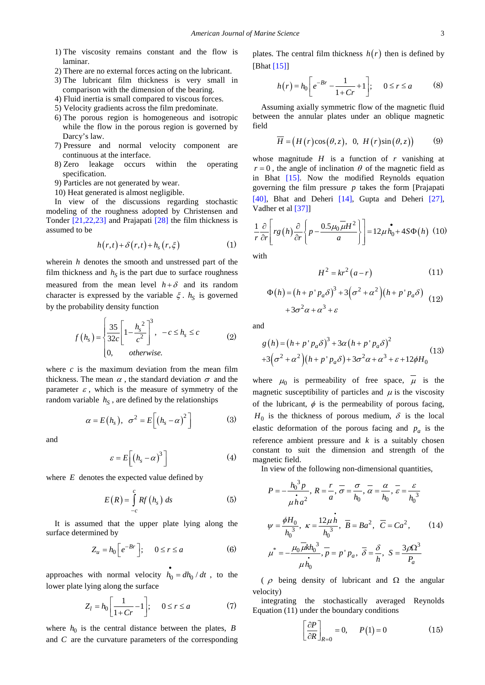- 1) The viscosity remains constant and the flow is laminar.
- 2) There are no external forces acting on the lubricant.
- 3) The lubricant film thickness is very small in comparison with the dimension of the bearing.
- 4) Fluid inertia is small compared to viscous forces.
- 5) Velocity gradients across the film predominate.
- 6) The porous region is homogeneous and isotropic while the flow in the porous region is governed by Darcy's law.
- 7) Pressure and normal velocity component are continuous at the interface.
- 8) Zero leakage occurs within the operating specification.
- 9) Particles are not generated by wear.
- 10) Heat generated is almost negligible.

In view of the discussions regarding stochastic modeling of the roughness adopted by Christensen and Tonder [\[21,22,23\]](#page-9-1) and Prajapati [\[28\]](#page-9-6) the film thickness is assumed to be

$$
h(r,t)+\delta(r,t)+h_s(r,\xi) \tag{1}
$$

wherein *h* denotes the smooth and unstressed part of the film thickness and  $h<sub>S</sub>$  is the part due to surface roughness measured from the mean level  $h + \delta$  and its random character is expressed by the variable  $\xi$ .  $h<sub>S</sub>$  is governed by the probability density function

$$
f\left(h_{s}\right) = \begin{cases} \frac{35}{32c} \left[1 - \frac{h_{s}^{2}}{c^{2}}\right]^{3}, & -c \leq h_{s} \leq c \\ 0, & \text{otherwise.} \end{cases}
$$
 (2)

where  $c$  is the maximum deviation from the mean film thickness. The mean  $\alpha$ , the standard deviation  $\sigma$  and the parameter  $\varepsilon$ , which is the measure of symmetry of the random variable  $h<sub>S</sub>$ , are defined by the relationships

$$
\alpha = E(h_s), \ \sigma^2 = E\left[\left(h_s - \alpha\right)^2\right] \tag{3}
$$

and

$$
\varepsilon = E\bigg[\big(h_s - \alpha\big)^3\bigg] \tag{4}
$$

where *E* denotes the expected value defined by

$$
E(R) = \int_{-c}^{c} Rf(h_s) \, ds \tag{5}
$$

It is assumed that the upper plate lying along the surface determined by

$$
Z_u = h_0 \left[ e^{-Br} \right]; \quad 0 \le r \le a \tag{6}
$$

approaches with normal velocity  $\vec{h}_0 = dh_0 / dt$ , to the lower plate lying along the surface

$$
Z_l = h_0 \left[ \frac{1}{1 + Cr} - 1 \right]; \quad 0 \le r \le a \tag{7}
$$

where  $h_0$  is the central distance between the plates, *B* and *C* are the curvature parameters of the corresponding plates. The central film thickness  $h(r)$  then is defined by [Bhat [\[15\]\]](#page-8-14)

$$
h(r) = h_0 \left[ e^{-Br} - \frac{1}{1 + Cr} + 1 \right]; \quad 0 \le r \le a \tag{8}
$$

Assuming axially symmetric flow of the magnetic fluid between the annular plates under an oblique magnetic field

$$
\overline{H} = (H(r)\cos(\theta, z), 0, H(r)\sin(\theta, z))
$$
 (9)

whose magnitude  $H$  is a function of  $r$  vanishing at  $r = 0$ , the angle of inclination  $\theta$  of the magnetic field as in Bhat [\[15\].](#page-8-14) Now the modified Reynolds equation governing the film pressure *p* takes the form [Prajapati [\[40\],](#page-9-18) Bhat and Deheri [\[14\],](#page-8-13) Gupta and Deheri [\[27\],](#page-9-5) Vadher et a[l \[37\]\]](#page-9-15)

$$
\frac{1}{r}\frac{\partial}{\partial r}\left[rg\left(h\right)\frac{\partial}{\partial r}\left\{p-\frac{0.5\mu_0\overline{\mu}H^2}{a}\right\}\right]=12\mu\dot{h_0}+4S\Phi\left(h\right)\ (10)
$$

with

$$
H^2 = kr^2 (a - r) \tag{11}
$$

$$
\Phi(h) = (h + p' p_a \delta)^3 + 3(\sigma^2 + \alpha^2)(h + p' p_a \delta) + 3\sigma^2 \alpha + \alpha^3 + \varepsilon \tag{12}
$$

and

$$
g(h) = (h + p'p_a\delta)^3 + 3\alpha (h + p'p_a\delta)^2
$$
  
+3(\sigma^2 + \alpha^2)(h + p'p\_a\delta) + 3\sigma^2 \alpha + \alpha^3 + \varepsilon + 12\phi H\_0 (13)

where  $\mu_0$  is permeability of free space,  $\overline{\mu}$  is the magnetic susceptibility of particles and  $\mu$  is the viscosity of the lubricant,  $\phi$  is the permeability of porous facing,  $H_0$  is the thickness of porous medium,  $\delta$  is the local elastic deformation of the porous facing and  $p_a$  is the reference ambient pressure and *k* is a suitably chosen constant to suit the dimension and strength of the magnetic field.

In view of the following non-dimensional quantities,

$$
P = -\frac{h_0^3 p}{\mu h a^2}, R = \frac{r}{a}, \overline{\sigma} = \frac{\sigma}{h_0}, \overline{\alpha} = \frac{\alpha}{h_0}, \overline{\varepsilon} = \frac{\varepsilon}{h_0^3}
$$
  

$$
\psi = \frac{\phi H_0}{h_0^3}, \kappa = \frac{12\mu h}{h_0^3}, \overline{B} = Ba^2, \overline{C} = Ca^2,
$$
 (14)  

$$
\mu^* = -\frac{\mu_0 \mu k h_0^3}{h_0}, \overline{p} = p' p_a, \overline{\delta} = \frac{\delta}{h}, S = \frac{3\rho \Omega^3}{p_a}
$$

(  $\rho$  being density of lubricant and  $\Omega$  the angular velocity)

integrating the stochastically averaged Reynolds Equation (11) under the boundary conditions

$$
\left[\frac{\partial P}{\partial R}\right]_{R=0} = 0, \quad P(1) = 0 \tag{15}
$$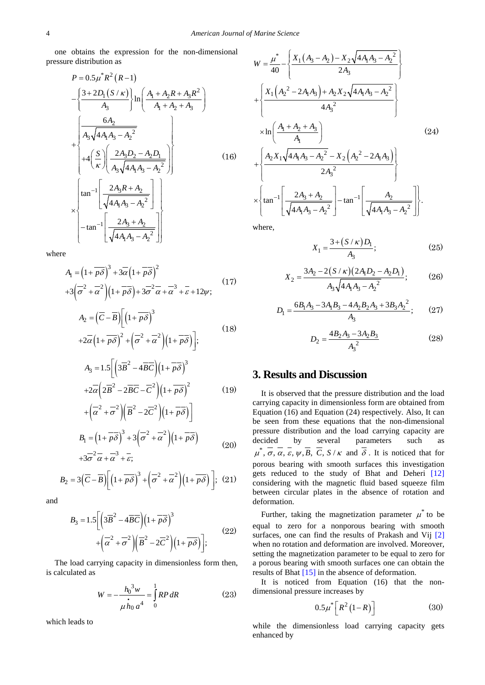one obtains the expression for the non-dimensional pressure distribution as

$$
P = 0.5\mu^* R^2 (R-1)
$$
  
\n
$$
-\left\{\frac{3+2D_1(S/K)}{A_3}\right\} \ln\left(\frac{A_1 + A_2R + A_3R^2}{A_1 + A_2 + A_3}\right)
$$
  
\n
$$
+\left\{\frac{6A_2}{A_3\sqrt{4A_1A_3 - A_2^2}}\right\} + 4\left(\frac{S}{K}\right)\left(\frac{2A_3D_2 - A_2D_1}{A_3\sqrt{4A_1A_3 - A_2^2}}\right)
$$
  
\n
$$
\times \left\{\tan^{-1}\left[\frac{2A_3R + A_2}{\sqrt{4A_1A_3 - A_2^2}}\right]\right\}
$$
  
\n
$$
-\tan^{-1}\left[\frac{2A_3 + A_2}{\sqrt{4A_1A_3 - A_2^2}}\right]
$$
  
\n
$$
\left(\tan^{-1}\left[\frac{2A_3 + A_2}{\sqrt{4A_1A_3 - A_2^2}}\right]\right)
$$
 (16)

where

$$
A_1 = \left(1 + \overline{p\delta}\right)^3 + 3\overline{\alpha}\left(1 + \overline{p\delta}\right)^2
$$
  
+3\left(\overline{\sigma}^2 + \overline{\alpha}^2\right)\left(1 + \overline{p\delta}\right) + 3\overline{\sigma}^2\overline{\alpha} + \overline{\alpha}^3 + \overline{\epsilon} + 12\psi; (17)

$$
A_2 = (\overline{C} - \overline{B}) \Big[ \left( 1 + \overline{p \delta} \right)^3 + 2\overline{\alpha} \left( 1 + \overline{p \delta} \right)^2 + \left( \overline{\sigma}^2 + \overline{\alpha}^2 \right) \left( 1 + \overline{p \delta} \right) \Big];
$$
\n(18)

$$
A_3 = 1.5 \left[ \left( 3\overline{B}^2 - 4\overline{BC} \right) \left( 1 + \overline{p\delta} \right)^3 \right] + 2\overline{\alpha} \left( 2\overline{B}^2 - 2\overline{BC} - \overline{C}^2 \right) \left( 1 + \overline{p\delta} \right)^2 + \left( \overline{\alpha}^2 + \overline{\sigma}^2 \right) \left( \overline{B}^2 - 2\overline{C}^2 \right) \left( 1 + \overline{p\delta} \right) \right]
$$
(19)

$$
B_1 = \left(1 + \overline{p\delta}\right)^3 + 3\left(\overline{\sigma}^2 + \overline{\alpha}^2\right)\left(1 + \overline{p\delta}\right)
$$
  
+3\overline{\sigma}^2 \overline{\alpha} + \overline{\alpha}^3 + \overline{\epsilon}; (20)

$$
B_2 = 3(\overline{C} - \overline{B}) \left[ \left( 1 + \overline{p\delta} \right)^3 + \left( \overline{\sigma}^2 + \overline{\alpha}^2 \right) \left( 1 + \overline{p\delta} \right) \right]; (21)
$$

and

$$
B_3 = 1.5 \left[ \left( 3\overline{B}^2 - 4\overline{BC} \right) \left( 1 + \overline{p\delta} \right)^3 + \left( \overline{\alpha}^2 + \overline{\sigma}^2 \right) \left( \overline{B}^2 - 2\overline{C}^2 \right) \left( 1 + \overline{p\delta} \right) \right];
$$
\n(22)

The load carrying capacity in dimensionless form then, is calculated as

$$
W = -\frac{h_0^3 w}{\mu h_0 a^4} = \int_0^1 R P dR
$$
 (23)

which leads to

$$
W = \frac{\mu^*}{40} - \left\{ \frac{X_1 (A_3 - A_2) - X_2 \sqrt{4A_1 A_3 - A_2}^2}{2A_3} \right\}
$$
  
+ 
$$
\left\{ \frac{X_1 (A_2^2 - 2A_1 A_3) + A_2 X_2 \sqrt{4A_1 A_3 - A_2}^2}{4A_3^2} \right\}
$$
  

$$
\times \ln \left( \frac{A_1 + A_2 + A_3}{A_1} \right)
$$
 (24)  
+ 
$$
\left\{ \frac{A_2 X_1 \sqrt{4A_1 A_3 - A_2^2} - X_2 (A_2^2 - 2A_1 A_3)}{2A_3^2} \right\}
$$
  

$$
\times \left\{ \tan^{-1} \left[ \frac{2A_3 + A_2}{\sqrt{4A_1 A_3 - A_2^2}} \right] - \tan^{-1} \left[ \frac{A_2}{\sqrt{4A_1 A_3 - A_2^2}} \right] \right\}.
$$

where,

$$
X_1 = \frac{3 + (S/\kappa)D_1}{A_3};
$$
\n(25)

$$
X_2 = \frac{3A_2 - 2(S/\kappa)(2A_1D_2 - A_2D_1)}{A_3\sqrt{4A_1A_3 - A_2^2}};
$$
 (26)

$$
D_1 = \frac{6B_1A_3 - 3A_1B_3 - 4A_2B_2A_3 + 3B_3A_2^2}{A_3};
$$
 (27)

$$
D_2 = \frac{4B_2A_3 - 3A_2B_3}{A_3^2} \tag{28}
$$

# **3. Results and Discussion**

It is observed that the pressure distribution and the load carrying capacity in dimensionless form are obtained from Equation (16) and Equation (24) respectively. Also, It can be seen from these equations that the non-dimensional pressure distribution and the load carrying capacity are<br>decided by several parameters such as by several parameters such as  $\mu^*, \overline{\sigma}, \overline{\alpha}, \overline{\varepsilon}, \psi, \overline{B}, \overline{C}, S/K$  and  $\overline{\delta}$ . It is noticed that for porous bearing with smooth surfaces this investigation gets reduced to the study of Bhat and Deheri [\[12\]](#page-8-11) considering with the magnetic fluid based squeeze film between circular plates in the absence of rotation and deformation.

Further, taking the magnetization parameter  $\mu^*$  to be equal to zero for a nonporous bearing with smooth surfaces, one can find the results of Prakash and Vij [\[2\]](#page-8-1) when no rotation and deformation are involved. Moreover, setting the magnetization parameter to be equal to zero for a porous bearing with smooth surfaces one can obtain the results of Bhat [\[15\]](#page-8-14) in the absence of deformation.

It is noticed from Equation (16) that the nondimensional pressure increases by

$$
0.5\mu^* \left[ R^2 \left( 1 - R \right) \right] \tag{30}
$$

while the dimensionless load carrying capacity gets enhanced by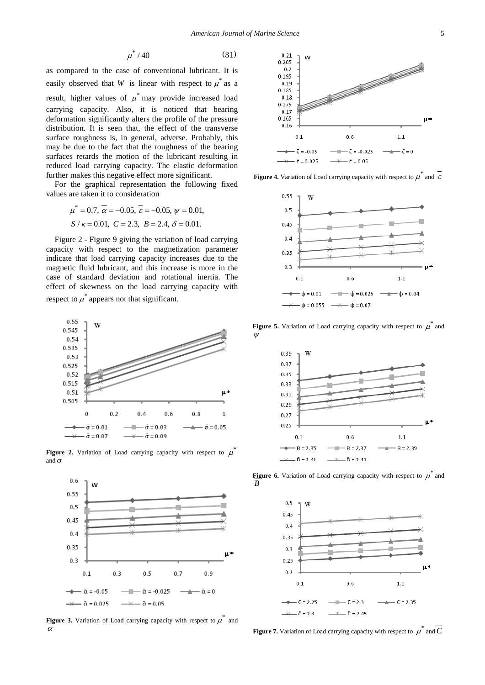$$
\mu^*/40\tag{31}
$$

as compared to the case of conventional lubricant. It is easily observed that *W* is linear with respect to  $\mu^*$  as a result, higher values of  $\mu^*$  may provide increased load carrying capacity. Also, it is noticed that bearing deformation significantly alters the profile of the pressure distribution. It is seen that, the effect of the transverse surface roughness is, in general, adverse. Probably, this may be due to the fact that the roughness of the bearing surfaces retards the motion of the lubricant resulting in reduced load carrying capacity. The elastic deformation further makes this negative effect more significant.

For the graphical representation the following fixed values are taken it to consideration

$$
\mu^* = 0.7
$$
,  $\overline{\alpha} = -0.05$ ,  $\overline{\varepsilon} = -0.05$ ,  $\psi = 0.01$ ,  
\n $S / \kappa = 0.01$ ,  $\overline{C} = 2.3$ ,  $\overline{B} = 2.4$ ,  $\overline{\delta} = 0.01$ .

Figure 2 - Figure 9 giving the variation of load carrying capacity with respect to the magnetization parameter indicate that load carrying capacity increases due to the magnetic fluid lubricant, and this increase is more in the case of standard deviation and rotational inertia. The effect of skewness on the load carrying capacity with respect to  $\mu^*$  appears not that significant.



**Figure 2.** Variation of Load carrying capacity with respect to  $\mu$ and  $\sigma$ 



**Figure** 3. Variation of Load carrying capacity with respect to  $\mu^{\uparrow}$  and α



**Figure 4.** Variation of Load carrying capacity with respect to  $\mu^*$  and  $\varepsilon$ 



**Figure 5.** Variation of Load carrying capacity with respect to  $\hat{\mu}$  and ψ



**Figure 6.** Variation of Load carrying capacity with respect to  $\mu^*$  and *B*



**Figure 7.** Variation of Load carrying capacity with respect to  $\mu^*$  and  $\overline{C}$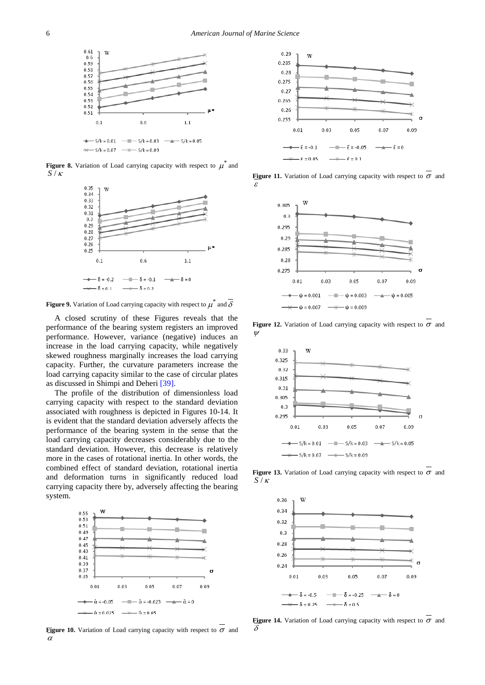

**Figure 8.** Variation of Load carrying capacity with respect to  $\mu^{\uparrow}$  and *S* / <sup>κ</sup>



**Figure 9.** Variation of Load carrying capacity with respect to  $\mu^*$  and  $\delta$ 

A closed scrutiny of these Figures reveals that the performance of the bearing system registers an improved performance. However, variance (negative) induces an increase in the load carrying capacity, while negatively skewed roughness marginally increases the load carrying capacity. Further, the curvature parameters increase the load carrying capacity similar to the case of circular plates as discussed in Shimpi and Deher[i \[39\].](#page-9-17) 

The profile of the distribution of dimensionless load carrying capacity with respect to the standard deviation associated with roughness is depicted in Figures 10-14. It is evident that the standard deviation adversely affects the performance of the bearing system in the sense that the load carrying capacity decreases considerably due to the standard deviation. However, this decrease is relatively more in the cases of rotational inertia. In other words, the combined effect of standard deviation, rotational inertia and deformation turns in significantly reduced load carrying capacity there by, adversely affecting the bearing system.



**Figure 10.** Variation of Load carrying capacity with respect to  $\sigma$  and α



**Figure 11.** Variation of Load carrying capacity with respect to  $\sigma$  and ε



**Figure 12.** Variation of Load carrying capacity with respect to  $\sigma$  and ψ



**Figure 13.** Variation of Load carrying capacity with respect to  $\sigma$  and *S* / <sup>κ</sup>



**Figure 14.** Variation of Load carrying capacity with respect to  $\sigma$  and δ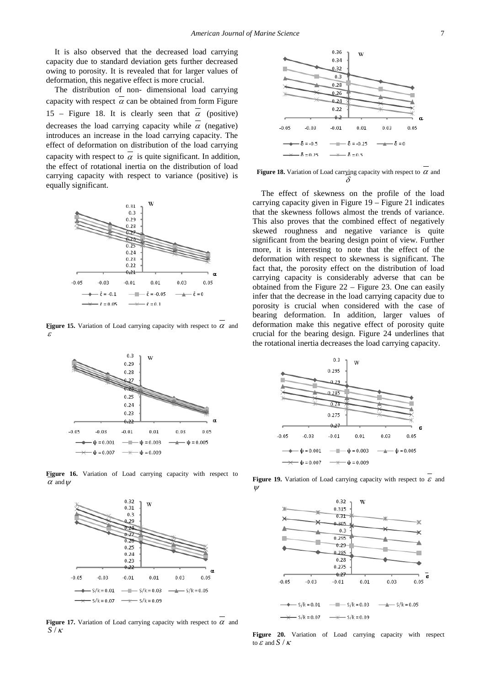It is also observed that the decreased load carrying capacity due to standard deviation gets further decreased owing to porosity. It is revealed that for larger values of deformation, this negative effect is more crucial.

The distribution of non- dimensional load carrying capacity with respect  $\alpha$  can be obtained from form Figure 15 – Figure 18. It is clearly seen that  $\alpha$  (positive) decreases the load carrying capacity while  $\alpha$  (negative) introduces an increase in the load carrying capacity. The effect of deformation on distribution of the load carrying capacity with respect to  $\alpha$  is quite significant. In addition, the effect of rotational inertia on the distribution of load carrying capacity with respect to variance (positive) is equally significant.



**Figure 15.** Variation of Load carrying capacity with respect to  $\alpha$  and ε



**Figure 16.** Variation of Load carrying capacity with respect to  $\alpha$  and  $w$ 



**Figure 17.** Variation of Load carrying capacity with respect to  $\alpha$  and *S* / <sup>κ</sup>



**Figure 18.** Variation of Load carrying capacity with respect to <sup>α</sup> and δ

The effect of skewness on the profile of the load carrying capacity given in Figure 19 – Figure 21 indicates that the skewness follows almost the trends of variance. This also proves that the combined effect of negatively skewed roughness and negative variance is quite significant from the bearing design point of view. Further more, it is interesting to note that the effect of the deformation with respect to skewness is significant. The fact that, the porosity effect on the distribution of load carrying capacity is considerably adverse that can be obtained from the Figure 22 – Figure 23. One can easily infer that the decrease in the load carrying capacity due to porosity is crucial when considered with the case of bearing deformation. In addition, larger values of deformation make this negative effect of porosity quite crucial for the bearing design. Figure 24 underlines that the rotational inertia decreases the load carrying capacity.



**Figure 19.** Variation of Load carrying capacity with respect to  $\varepsilon$  and ψ



**Figure 20.** Variation of Load carrying capacity with respect to  $\varepsilon$  and  $S/K$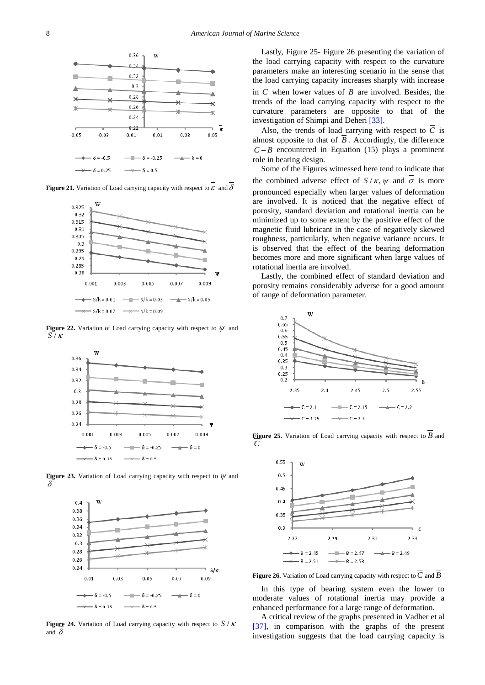

**Figure 21.** Variation of Load carrying capacity with respect to  $\varepsilon$  and  $\delta$ 



**Figure 22.** Variation of Load carrying capacity with respect to  $\psi$  and *S* / <sup>κ</sup>



**Figure 23.** Variation of Load carrying capacity with respect to  $\psi$  and δ



**Figure 24.** Variation of Load carrying capacity with respect to *S* / <sup>κ</sup> and  $\delta$ 

Lastly, Figure 25- Figure 26 presenting the variation of the load carrying capacity with respect to the curvature parameters make an interesting scenario in the sense that the load carrying capacity increases sharply with increase in  $\overline{C}$  when lower values of  $\overline{B}$  are involved. Besides, the trends of the load carrying capacity with respect to the curvature parameters are opposite to that of the investigation of Shimpi and Deheri [\[33\].](#page-9-11)

Also, the trends of load carrying with respect to  $\overline{C}$  is almost opposite to that of  $\overline{B}$ . Accordingly, the difference  $\overline{C} - \overline{B}$  encountered in Equation (15) plays a prominent role in bearing design.

Some of the Figures witnessed here tend to indicate that the combined adverse effect of  $S / \kappa$ ,  $\psi$  and  $\overline{\sigma}$  is more pronounced especially when larger values of deformation are involved. It is noticed that the negative effect of porosity, standard deviation and rotational inertia can be minimized up to some extent by the positive effect of the magnetic fluid lubricant in the case of negatively skewed roughness, particularly, when negative variance occurs. It is observed that the effect of the bearing deformation becomes more and more significant when large values of rotational inertia are involved.

Lastly, the combined effect of standard deviation and porosity remains considerably adverse for a good amount of range of deformation parameter.



**Figure 25.** Variation of Load carrying capacity with respect to *B* and *C*



**Figure 26.** Variation of Load carrying capacity with respect to  $\overline{C}$  and  $\overline{B}$ 

In this type of bearing system even the lower to moderate values of rotational inertia may provide a enhanced performance for a large range of deformation.

A critical review of the graphs presented in Vadher et al [\[37\],](#page-9-15) in comparison with the graphs of the present investigation suggests that the load carrying capacity is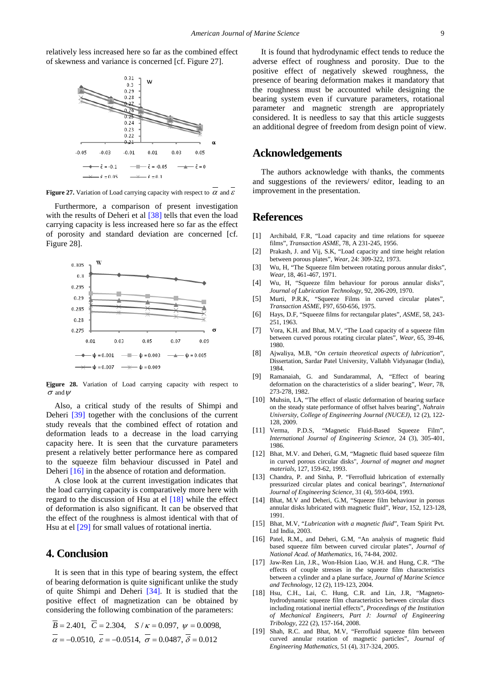relatively less increased here so far as the combined effect of skewness and variance is concerned [cf. Figure 27].



**Figure 27.** Variation of Load carrying capacity with respect to  $\alpha$  and  $\varepsilon$ 

Furthermore, a comparison of present investigation with the results of Deheri et al [\[38\]](#page-9-16) tells that even the load carrying capacity is less increased here so far as the effect of porosity and standard deviation are concerned [cf. Figure 28].



**Figure 28.** Variation of Load carrying capacity with respect to  $\sigma$  and  $\psi$ 

Also, a critical study of the results of Shimpi and Deheri [\[39\]](#page-9-17) together with the conclusions of the current study reveals that the combined effect of rotation and deformation leads to a decrease in the load carrying capacity here. It is seen that the curvature parameters present a relatively better performance here as compared to the squeeze film behaviour discussed in Patel and Deheri [\[16\]](#page-8-15) in the absence of rotation and deformation.

A close look at the current investigation indicates that the load carrying capacity is comparatively more here with regard to the discussion of Hsu at el [\[18\]](#page-8-17) while the effect of deformation is also significant. It can be observed that the effect of the roughness is almost identical with that of Hsu at e[l \[29\]](#page-9-7) for small values of rotational inertia.

## **4. Conclusion**

It is seen that in this type of bearing system, the effect of bearing deformation is quite significant unlike the study of quite Shimpi and Deheri [\[34\].](#page-9-12) It is studied that the positive effect of magnetization can be obtained by considering the following combination of the parameters:

$$
\overline{B} = 2.401, \quad \overline{C} = 2.304, \quad S / \kappa = 0.097, \quad \psi = 0.0098,
$$
  

$$
\overline{\alpha} = -0.0510, \quad \overline{\varepsilon} = -0.0514, \quad \overline{\sigma} = 0.0487, \quad \overline{\delta} = 0.012
$$

It is found that hydrodynamic effect tends to reduce the adverse effect of roughness and porosity. Due to the positive effect of negatively skewed roughness, the presence of bearing deformation makes it mandatory that the roughness must be accounted while designing the bearing system even if curvature parameters, rotational parameter and magnetic strength are appropriately considered. It is needless to say that this article suggests an additional degree of freedom from design point of view.

#### **Acknowledgements**

The authors acknowledge with thanks, the comments and suggestions of the reviewers/ editor, leading to an improvement in the presentation.

#### **References**

- <span id="page-8-0"></span>[1] Archibald, F.R, "Load capacity and time relations for squeeze films", *Transaction ASME*, 78, A 231-245, 1956.
- <span id="page-8-1"></span>[2] Prakash, J. and Vij, S.K, "Load capacity and time height relation between porous plates", *Wear*, 24: 309-322, 1973.
- <span id="page-8-2"></span>[3] Wu, H, "The Squeeze film between rotating porous annular disks", *Wear*, 18, 461-467, 1971.
- <span id="page-8-3"></span>[4] Wu, H, "Squeeze film behaviour for porous annular disks", *Journal of Lubrication Technology*, 92, 206-209, 1970.
- <span id="page-8-4"></span>[5] Murti, P.R.K, "Squeeze Films in curved circular plates", *Transaction ASME*, F97, 650-656, 1975.
- <span id="page-8-5"></span>[6] Hays, D.F, "Squeeze films for rectangular plates", *ASME*, 58, 243- 251, 1963.
- <span id="page-8-6"></span>[7] Vora, K.H. and Bhat, M.V, "The Load capacity of a squeeze film between curved porous rotating circular plates", *Wear*, 65, 39-46, 1980.
- <span id="page-8-7"></span>[8] Ajwaliya, M.B, "*On certain theoretical aspects of lubrication*", Dissertation, Sardar Patel University, Vallabh Vidyanagar (India), 1984*.*
- <span id="page-8-8"></span>[9] Ramanaiah, G. and Sundarammal, A, "Effect of bearing deformation on the characteristics of a slider bearing", *Wear*, 78, 273-278, 1982.
- <span id="page-8-9"></span>[10] Muhsin, I.A. "The effect of elastic deformation of bearing surface on the steady state performance of offset halves bearing", *Nahrain University, College of Engineering Journal (NUCEJ)*, 12 (2), 122- 128, 2009.
- <span id="page-8-10"></span>[11] Verma, P.D.S, "Magnetic Fluid-Based Squeeze Film", *International Journal of Engineering Science*, 24 (3), 305-401, 1986.
- <span id="page-8-11"></span>[12] Bhat, M.V. and Deheri, G.M, "Magnetic fluid based squeeze film in curved porous circular disks", *Journal of magnet and magnet materials*, 127, 159-62, 1993.
- <span id="page-8-12"></span>[13] Chandra, P. and Sinha, P. "Ferrofluid lubrication of externally pressurized circular plates and conical bearings", *International Journal of Engineering Science,* 31 (4), 593-604, 1993.
- <span id="page-8-13"></span>[14] Bhat, M.V and Deheri, G.M, "Squeeze film behaviour in porous annular disks lubricated with magnetic fluid", *Wear*, 152, 123-128, 1991.
- <span id="page-8-14"></span>[15] Bhat, M.V, "*Lubrication with a magnetic fluid*", Team Spirit Pvt. Ltd India, 2003.
- <span id="page-8-15"></span>[16] Patel, R.M., and Deheri, G.M, "An analysis of magnetic fluid based squeeze film between curved circular plates", *Journal of National Acad. of Mathematics*, 16, 74-84, 2002.
- <span id="page-8-16"></span>[17] Jaw-Ren Lin, J.R., Won-Hsion Liao, W.H. and Hung, C.R. "The effects of couple stresses in the squeeze film characteristics between a cylinder and a plane surface, *Journal of Marine Science and Technology,* 12 (2), 119-123, 2004.
- <span id="page-8-17"></span>[18] Hsu, C.H., Lai, C. Hung, C.R. and Lin, J.R, "Magnetohydrodynamic squeeze film characteristics between circular discs including rotational inertial effects", *Proceedings of the Institution of Mechanical Engineers, Part J: Journal of Engineering Tribology*, 222 (2), 157-164, 2008.
- <span id="page-8-18"></span>[19] Shah, R.C. and Bhat, M.V, "Ferrofluid squeeze film between curved annular rotation of magnetic particles", *Journal of Engineering Mathematics*, 51 (4), 317-324, 2005.